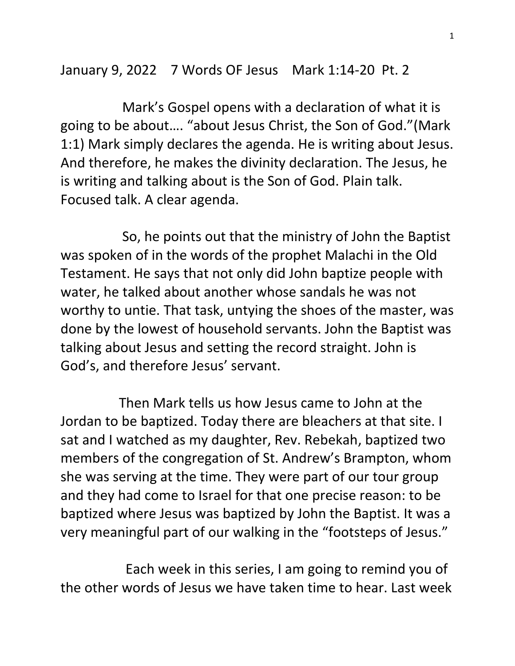January 9, 2022 7 Words OF Jesus Mark 1:14-20 Pt. 2

 Mark's Gospel opens with a declaration of what it is going to be about…. "about Jesus Christ, the Son of God."(Mark 1:1) Mark simply declares the agenda. He is writing about Jesus. And therefore, he makes the divinity declaration. The Jesus, he is writing and talking about is the Son of God. Plain talk. Focused talk. A clear agenda.

 So, he points out that the ministry of John the Baptist was spoken of in the words of the prophet Malachi in the Old Testament. He says that not only did John baptize people with water, he talked about another whose sandals he was not worthy to untie. That task, untying the shoes of the master, was done by the lowest of household servants. John the Baptist was talking about Jesus and setting the record straight. John is God's, and therefore Jesus' servant.

 Then Mark tells us how Jesus came to John at the Jordan to be baptized. Today there are bleachers at that site. I sat and I watched as my daughter, Rev. Rebekah, baptized two members of the congregation of St. Andrew's Brampton, whom she was serving at the time. They were part of our tour group and they had come to Israel for that one precise reason: to be baptized where Jesus was baptized by John the Baptist. It was a very meaningful part of our walking in the "footsteps of Jesus."

 Each week in this series, I am going to remind you of the other words of Jesus we have taken time to hear. Last week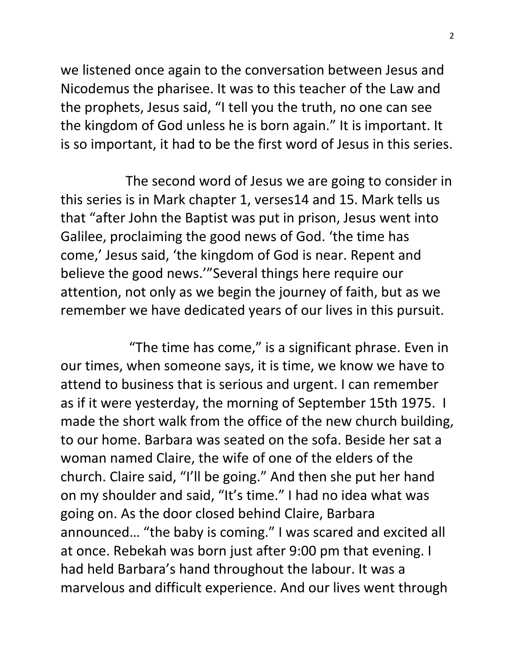we listened once again to the conversation between Jesus and Nicodemus the pharisee. It was to this teacher of the Law and the prophets, Jesus said, "I tell you the truth, no one can see the kingdom of God unless he is born again." It is important. It is so important, it had to be the first word of Jesus in this series.

 The second word of Jesus we are going to consider in this series is in Mark chapter 1, verses14 and 15. Mark tells us that "after John the Baptist was put in prison, Jesus went into Galilee, proclaiming the good news of God. 'the time has come,' Jesus said, 'the kingdom of God is near. Repent and believe the good news.'"Several things here require our attention, not only as we begin the journey of faith, but as we remember we have dedicated years of our lives in this pursuit.

 "The time has come," is a significant phrase. Even in our times, when someone says, it is time, we know we have to attend to business that is serious and urgent. I can remember as if it were yesterday, the morning of September 15th 1975. I made the short walk from the office of the new church building, to our home. Barbara was seated on the sofa. Beside her sat a woman named Claire, the wife of one of the elders of the church. Claire said, "I'll be going." And then she put her hand on my shoulder and said, "It's time." I had no idea what was going on. As the door closed behind Claire, Barbara announced… "the baby is coming." I was scared and excited all at once. Rebekah was born just after 9:00 pm that evening. I had held Barbara's hand throughout the labour. It was a marvelous and difficult experience. And our lives went through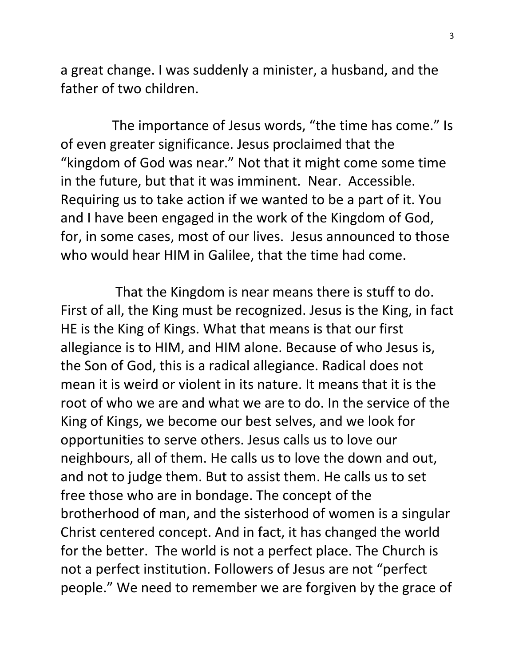a great change. I was suddenly a minister, a husband, and the father of two children.

 The importance of Jesus words, "the time has come." Is of even greater significance. Jesus proclaimed that the "kingdom of God was near." Not that it might come some time in the future, but that it was imminent. Near. Accessible. Requiring us to take action if we wanted to be a part of it. You and I have been engaged in the work of the Kingdom of God, for, in some cases, most of our lives. Jesus announced to those who would hear HIM in Galilee, that the time had come.

 That the Kingdom is near means there is stuff to do. First of all, the King must be recognized. Jesus is the King, in fact HE is the King of Kings. What that means is that our first allegiance is to HIM, and HIM alone. Because of who Jesus is, the Son of God, this is a radical allegiance. Radical does not mean it is weird or violent in its nature. It means that it is the root of who we are and what we are to do. In the service of the King of Kings, we become our best selves, and we look for opportunities to serve others. Jesus calls us to love our neighbours, all of them. He calls us to love the down and out, and not to judge them. But to assist them. He calls us to set free those who are in bondage. The concept of the brotherhood of man, and the sisterhood of women is a singular Christ centered concept. And in fact, it has changed the world for the better. The world is not a perfect place. The Church is not a perfect institution. Followers of Jesus are not "perfect people." We need to remember we are forgiven by the grace of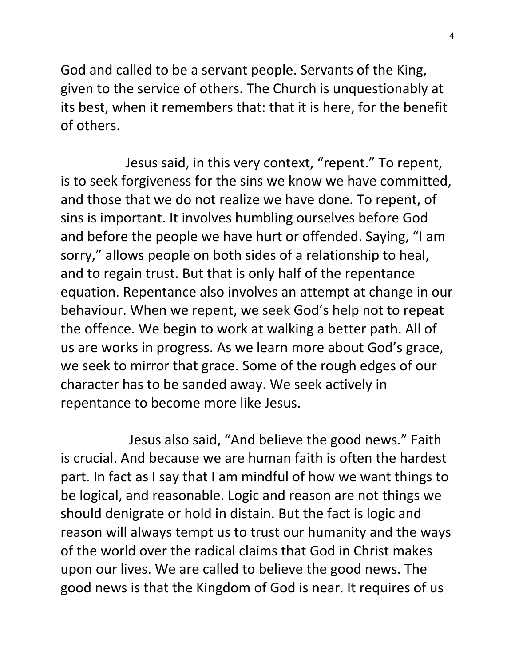God and called to be a servant people. Servants of the King, given to the service of others. The Church is unquestionably at its best, when it remembers that: that it is here, for the benefit of others.

 Jesus said, in this very context, "repent." To repent, is to seek forgiveness for the sins we know we have committed, and those that we do not realize we have done. To repent, of sins is important. It involves humbling ourselves before God and before the people we have hurt or offended. Saying, "I am sorry," allows people on both sides of a relationship to heal, and to regain trust. But that is only half of the repentance equation. Repentance also involves an attempt at change in our behaviour. When we repent, we seek God's help not to repeat the offence. We begin to work at walking a better path. All of us are works in progress. As we learn more about God's grace, we seek to mirror that grace. Some of the rough edges of our character has to be sanded away. We seek actively in repentance to become more like Jesus.

 Jesus also said, "And believe the good news." Faith is crucial. And because we are human faith is often the hardest part. In fact as I say that I am mindful of how we want things to be logical, and reasonable. Logic and reason are not things we should denigrate or hold in distain. But the fact is logic and reason will always tempt us to trust our humanity and the ways of the world over the radical claims that God in Christ makes upon our lives. We are called to believe the good news. The good news is that the Kingdom of God is near. It requires of us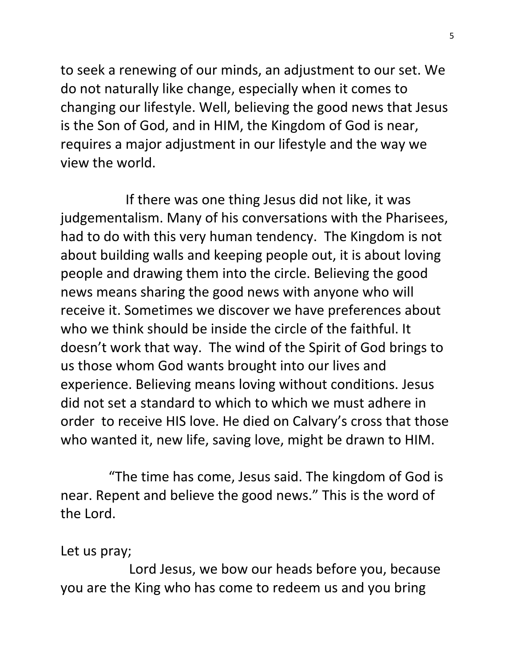to seek a renewing of our minds, an adjustment to our set. We do not naturally like change, especially when it comes to changing our lifestyle. Well, believing the good news that Jesus is the Son of God, and in HIM, the Kingdom of God is near, requires a major adjustment in our lifestyle and the way we view the world.

 If there was one thing Jesus did not like, it was judgementalism. Many of his conversations with the Pharisees, had to do with this very human tendency. The Kingdom is not about building walls and keeping people out, it is about loving people and drawing them into the circle. Believing the good news means sharing the good news with anyone who will receive it. Sometimes we discover we have preferences about who we think should be inside the circle of the faithful. It doesn't work that way. The wind of the Spirit of God brings to us those whom God wants brought into our lives and experience. Believing means loving without conditions. Jesus did not set a standard to which to which we must adhere in order to receive HIS love. He died on Calvary's cross that those who wanted it, new life, saving love, might be drawn to HIM.

 "The time has come, Jesus said. The kingdom of God is near. Repent and believe the good news." This is the word of the Lord.

Let us pray;

 Lord Jesus, we bow our heads before you, because you are the King who has come to redeem us and you bring